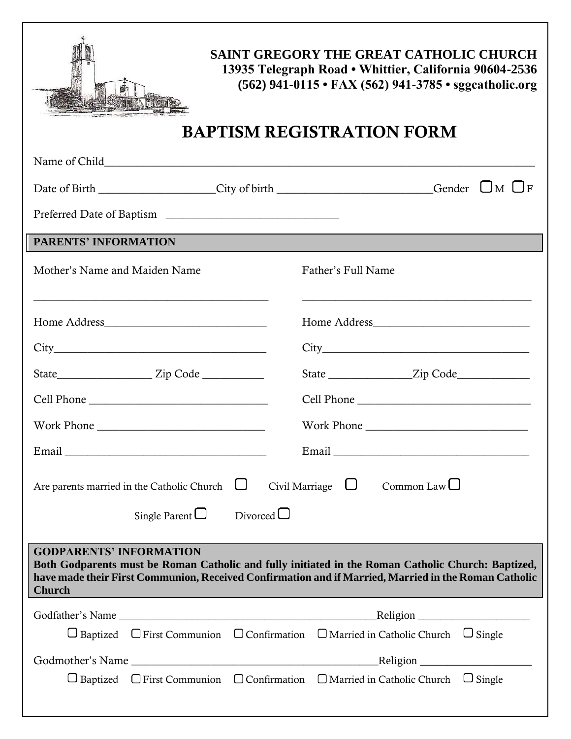

**SAINT GREGORY THE GREAT CATHOLIC CHURCH 13935 Telegraph Road • Whittier, California 90604-2536 (562) 941-0115 • FAX (562) 941-3785 • sggcatholic.org**

## BAPTISM REGISTRATION FORM

| Date of Birth ________________City of birth ______________________Gender UM OF                                                                                                                                                                                |                      |         |                                                                                   |                   |  |
|---------------------------------------------------------------------------------------------------------------------------------------------------------------------------------------------------------------------------------------------------------------|----------------------|---------|-----------------------------------------------------------------------------------|-------------------|--|
|                                                                                                                                                                                                                                                               |                      |         |                                                                                   |                   |  |
| <b>PARENTS' INFORMATION</b>                                                                                                                                                                                                                                   |                      |         |                                                                                   |                   |  |
| Mother's Name and Maiden Name<br><u> 1989 - Johann John Stoff, deutscher Stoffen und der Stoffen und der Stoffen und der Stoffen und der Stoffen un</u>                                                                                                       |                      |         | Father's Full Name<br><u> 1989 - Johann Stoff, amerikansk politiker (d. 1989)</u> |                   |  |
|                                                                                                                                                                                                                                                               |                      |         |                                                                                   |                   |  |
| $City$ and $(x)$ and $(x)$ and $(x)$ and $(x)$ and $(x)$ and $(x)$ and $(x)$ and $(x)$ and $(x)$ and $(x)$ and $(x)$ and $(x)$ and $(x)$ and $(x)$ and $(x)$ and $(x)$ and $(x)$ and $(x)$ and $(x)$ and $(x)$ and $(x)$ and $(x)$ and $(x)$ and $(x)$ a      |                      |         |                                                                                   |                   |  |
|                                                                                                                                                                                                                                                               |                      |         |                                                                                   |                   |  |
|                                                                                                                                                                                                                                                               |                      |         |                                                                                   |                   |  |
|                                                                                                                                                                                                                                                               |                      |         |                                                                                   |                   |  |
|                                                                                                                                                                                                                                                               |                      |         |                                                                                   |                   |  |
| Civil Marriage $\Box$ Common Law $\Box$<br>Are parents married in the Catholic Church $\Box$                                                                                                                                                                  |                      |         |                                                                                   |                   |  |
|                                                                                                                                                                                                                                                               | Single Parent $\Box$ | Divored |                                                                                   |                   |  |
| <b>GODPARENTS' INFORMATION</b><br>Both Godparents must be Roman Catholic and fully initiated in the Roman Catholic Church: Baptized,<br>have made their First Communion, Received Confirmation and if Married, Married in the Roman Catholic<br><b>Church</b> |                      |         |                                                                                   |                   |  |
|                                                                                                                                                                                                                                                               |                      |         |                                                                                   | $\text{Religion}$ |  |
| $\Box$ Baptized $\Box$ First Communion $\Box$ Confirmation $\Box$ Married in Catholic Church $\Box$ Single                                                                                                                                                    |                      |         |                                                                                   |                   |  |
|                                                                                                                                                                                                                                                               |                      |         |                                                                                   |                   |  |
| $\Box$ Baptized $\Box$ First Communion $\Box$ Confirmation $\Box$ Married in Catholic Church $\Box$ Single                                                                                                                                                    |                      |         |                                                                                   |                   |  |